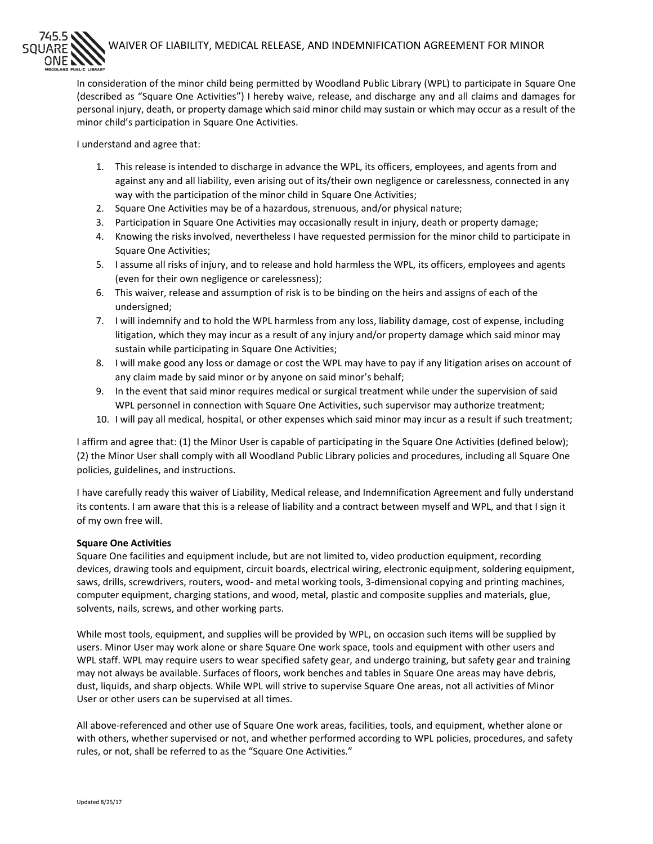## WAIVER OF LIABILITY, MEDICAL RELEASE, AND INDEMNIFICATION AGREEMENT FOR MINOR

In consideration of the minor child being permitted by Woodland Public Library (WPL) to participate in Square One (described as "Square One Activities") I hereby waive, release, and discharge any and all claims and damages for personal injury, death, or property damage which said minor child may sustain or which may occur as a result of the minor child's participation in Square One Activities.

I understand and agree that:

- 1. This release is intended to discharge in advance the WPL, its officers, employees, and agents from and against any and all liability, even arising out of its/their own negligence or carelessness, connected in any way with the participation of the minor child in Square One Activities;
- 2. Square One Activities may be of a hazardous, strenuous, and/or physical nature;
- 3. Participation in Square One Activities may occasionally result in injury, death or property damage;
- 4. Knowing the risks involved, nevertheless I have requested permission for the minor child to participate in Square One Activities;
- 5. I assume all risks of injury, and to release and hold harmless the WPL, its officers, employees and agents (even for their own negligence or carelessness);
- 6. This waiver, release and assumption of risk is to be binding on the heirs and assigns of each of the undersigned;
- 7. I will indemnify and to hold the WPL harmless from any loss, liability damage, cost of expense, including litigation, which they may incur as a result of any injury and/or property damage which said minor may sustain while participating in Square One Activities;
- 8. I will make good any loss or damage or cost the WPL may have to pay if any litigation arises on account of any claim made by said minor or by anyone on said minor's behalf;
- 9. In the event that said minor requires medical or surgical treatment while under the supervision of said WPL personnel in connection with Square One Activities, such supervisor may authorize treatment;
- 10. I will pay all medical, hospital, or other expenses which said minor may incur as a result if such treatment;

I affirm and agree that: (1) the Minor User is capable of participating in the Square One Activities (defined below); (2) the Minor User shall comply with all Woodland Public Library policies and procedures, including all Square One policies, guidelines, and instructions.

I have carefully ready this waiver of Liability, Medical release, and Indemnification Agreement and fully understand its contents. I am aware that this is a release of liability and a contract between myself and WPL, and that I sign it of my own free will.

## **Square One Activities**

Square One facilities and equipment include, but are not limited to, video production equipment, recording devices, drawing tools and equipment, circuit boards, electrical wiring, electronic equipment, soldering equipment, saws, drills, screwdrivers, routers, wood- and metal working tools, 3-dimensional copying and printing machines, computer equipment, charging stations, and wood, metal, plastic and composite supplies and materials, glue, solvents, nails, screws, and other working parts.

While most tools, equipment, and supplies will be provided by WPL, on occasion such items will be supplied by users. Minor User may work alone or share Square One work space, tools and equipment with other users and WPL staff. WPL may require users to wear specified safety gear, and undergo training, but safety gear and training may not always be available. Surfaces of floors, work benches and tables in Square One areas may have debris, dust, liquids, and sharp objects. While WPL will strive to supervise Square One areas, not all activities of Minor User or other users can be supervised at all times.

All above-referenced and other use of Square One work areas, facilities, tools, and equipment, whether alone or with others, whether supervised or not, and whether performed according to WPL policies, procedures, and safety rules, or not, shall be referred to as the "Square One Activities."